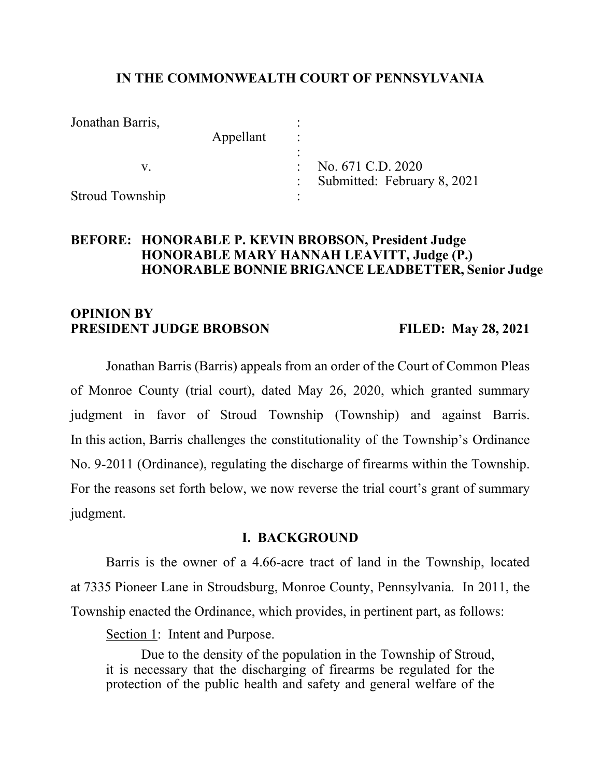#### **IN THE COMMONWEALTH COURT OF PENNSYLVANIA**

| Jonathan Barris,       |           |                             |
|------------------------|-----------|-----------------------------|
|                        | Appellant |                             |
|                        |           |                             |
|                        |           | No. 671 C.D. 2020           |
|                        |           | Submitted: February 8, 2021 |
| <b>Stroud Township</b> |           |                             |

# **BEFORE: HONORABLE P. KEVIN BROBSON, President Judge HONORABLE MARY HANNAH LEAVITT, Judge (P.) HONORABLE BONNIE BRIGANCE LEADBETTER, Senior Judge**

# **OPINION BY PRESIDENT JUDGE BROBSON FILED: May 28, 2021**

Jonathan Barris (Barris) appeals from an order of the Court of Common Pleas of Monroe County (trial court), dated May 26, 2020, which granted summary judgment in favor of Stroud Township (Township) and against Barris. In this action, Barris challenges the constitutionality of the Township's Ordinance No. 9-2011 (Ordinance), regulating the discharge of firearms within the Township. For the reasons set forth below, we now reverse the trial court's grant of summary judgment.

#### **I. BACKGROUND**

Barris is the owner of a 4.66-acre tract of land in the Township, located at 7335 Pioneer Lane in Stroudsburg, Monroe County, Pennsylvania. In 2011, the Township enacted the Ordinance, which provides, in pertinent part, as follows:

Section 1: Intent and Purpose.

Due to the density of the population in the Township of Stroud, it is necessary that the discharging of firearms be regulated for the protection of the public health and safety and general welfare of the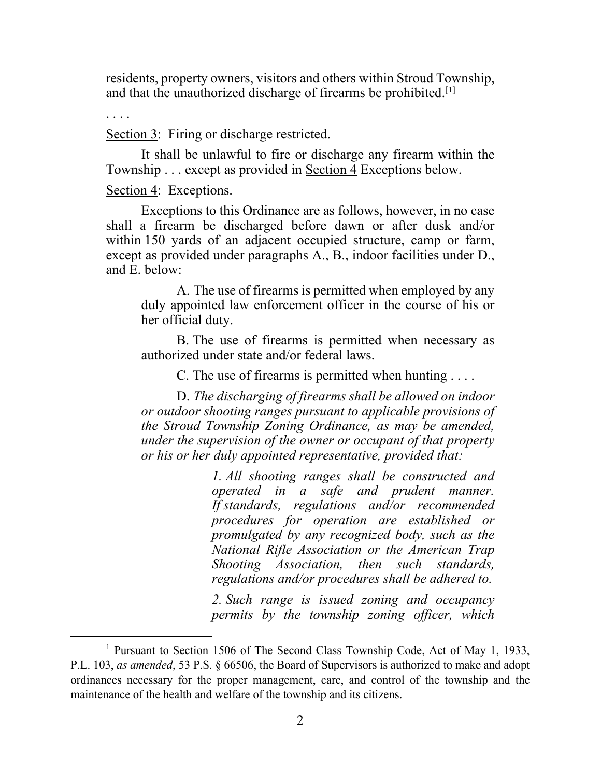residents, property owners, visitors and others within Stroud Township, and that the unauthorized discharge of firearms be prohibited.<sup>[[1](#page-1-0)]</sup>

. . . .

Section 3: Firing or discharge restricted.

It shall be unlawful to fire or discharge any firearm within the Township . . . except as provided in Section 4 Exceptions below.

Section 4: Exceptions.

Exceptions to this Ordinance are as follows, however, in no case shall a firearm be discharged before dawn or after dusk and/or within 150 yards of an adjacent occupied structure, camp or farm, except as provided under paragraphs A., B., indoor facilities under D., and E. below:

A. The use of firearms is permitted when employed by any duly appointed law enforcement officer in the course of his or her official duty.

B. The use of firearms is permitted when necessary as authorized under state and/or federal laws.

C. The use of firearms is permitted when hunting . . . .

D. *The discharging of firearms shall be allowed on indoor or outdoor shooting ranges pursuant to applicable provisions of the Stroud Township Zoning Ordinance, as may be amended, under the supervision of the owner or occupant of that property or his or her duly appointed representative, provided that:*

> *1. All shooting ranges shall be constructed and operated in a safe and prudent manner. If standards, regulations and/or recommended procedures for operation are established or promulgated by any recognized body, such as the National Rifle Association or the American Trap Shooting Association, then such standards, regulations and/or procedures shall be adhered to.*

> *2. Such range is issued zoning and occupancy permits by the township zoning officer, which*

<span id="page-1-0"></span><sup>&</sup>lt;sup>1</sup> Pursuant to Section 1506 of The Second Class Township Code, Act of May 1, 1933, P.L. 103, *as amended*, 53 P.S. § 66506, the Board of Supervisors is authorized to make and adopt ordinances necessary for the proper management, care, and control of the township and the maintenance of the health and welfare of the township and its citizens.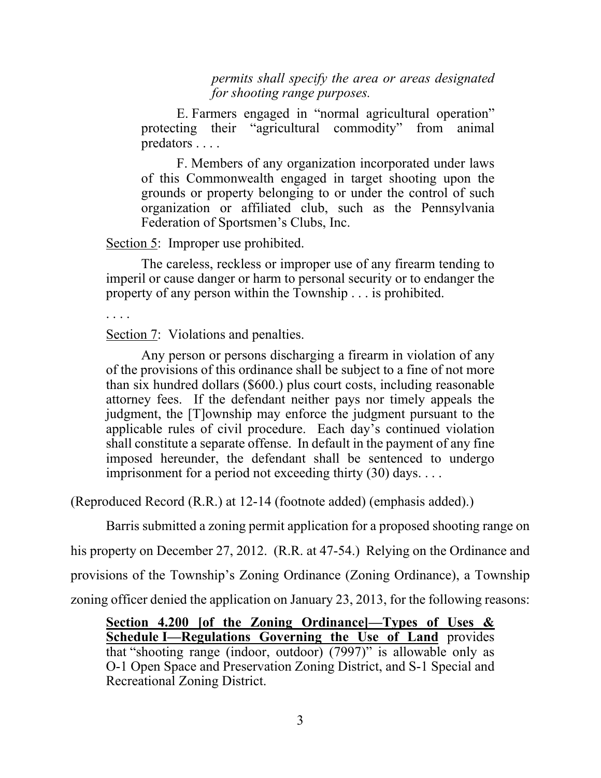*permits shall specify the area or areas designated for shooting range purposes.*

E. Farmers engaged in "normal agricultural operation" protecting their "agricultural commodity" from animal predators . . . .

F. Members of any organization incorporated under laws of this Commonwealth engaged in target shooting upon the grounds or property belonging to or under the control of such organization or affiliated club, such as the Pennsylvania Federation of Sportsmen's Clubs, Inc.

Section 5: Improper use prohibited.

The careless, reckless or improper use of any firearm tending to imperil or cause danger or harm to personal security or to endanger the property of any person within the Township . . . is prohibited.

. . . .

Section 7: Violations and penalties.

Any person or persons discharging a firearm in violation of any of the provisions of this ordinance shall be subject to a fine of not more than six hundred dollars (\$600.) plus court costs, including reasonable attorney fees. If the defendant neither pays nor timely appeals the judgment, the [T]ownship may enforce the judgment pursuant to the applicable rules of civil procedure. Each day's continued violation shall constitute a separate offense. In default in the payment of any fine imposed hereunder, the defendant shall be sentenced to undergo imprisonment for a period not exceeding thirty (30) days. . . .

(Reproduced Record (R.R.) at 12-14 (footnote added) (emphasis added).)

Barris submitted a zoning permit application for a proposed shooting range on

his property on December 27, 2012. (R.R. at 47-54.) Relying on the Ordinance and

provisions of the Township's Zoning Ordinance (Zoning Ordinance), a Township

zoning officer denied the application on January 23, 2013, for the following reasons:

**Section 4.200 [of the Zoning Ordinance]—Types of Uses & Schedule I—Regulations Governing the Use of Land** provides that "shooting range (indoor, outdoor) (7997)" is allowable only as O-1 Open Space and Preservation Zoning District, and S-1 Special and Recreational Zoning District.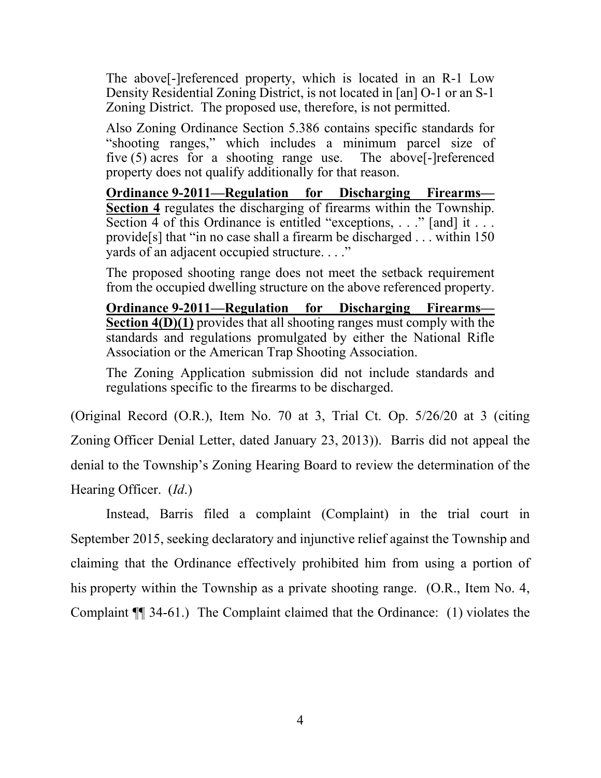The above[-]referenced property, which is located in an R-1 Low Density Residential Zoning District, is not located in [an] O-1 or an S-1 Zoning District. The proposed use, therefore, is not permitted.

Also Zoning Ordinance Section 5.386 contains specific standards for "shooting ranges," which includes a minimum parcel size of five (5) acres for a shooting range use. The above[-]referenced property does not qualify additionally for that reason.

**Ordinance 9-2011—Regulation for Discharging Firearms— Section 4** regulates the discharging of firearms within the Township. Section 4 of this Ordinance is entitled "exceptions, . . ." [and] it . . . provide[s] that "in no case shall a firearm be discharged . . . within 150 yards of an adjacent occupied structure. . . ."

The proposed shooting range does not meet the setback requirement from the occupied dwelling structure on the above referenced property.

**Ordinance 9-2011—Regulation for Discharging Firearms— Section 4(D)(1)** provides that all shooting ranges must comply with the standards and regulations promulgated by either the National Rifle Association or the American Trap Shooting Association.

The Zoning Application submission did not include standards and regulations specific to the firearms to be discharged.

(Original Record (O.R.), Item No. 70 at 3, Trial Ct. Op. 5/26/20 at 3 (citing Zoning Officer Denial Letter, dated January 23, 2013)). Barris did not appeal the denial to the Township's Zoning Hearing Board to review the determination of the Hearing Officer. (*Id*.)

Instead, Barris filed a complaint (Complaint) in the trial court in September 2015, seeking declaratory and injunctive relief against the Township and claiming that the Ordinance effectively prohibited him from using a portion of his property within the Township as a private shooting range. (O.R., Item No. 4, Complaint ¶¶ 34-61.) The Complaint claimed that the Ordinance: (1) violates the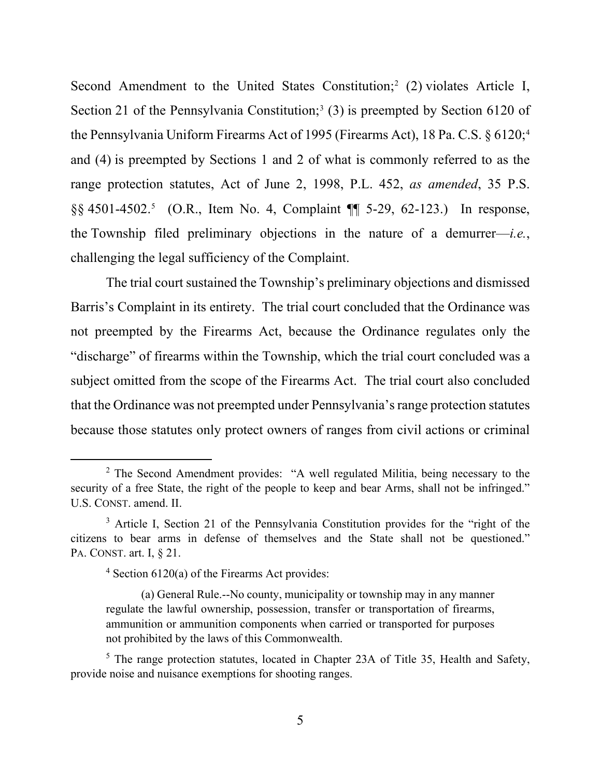Second Amendment to the United States Constitution;<sup>[2](#page-4-0)</sup> (2) violates Article I, Section 21 of the Pennsylvania Constitution;<sup>[3](#page-4-1)</sup> (3) is preempted by Section 6120 of the Pennsylvania Uniform Firearms Act of 1995 (Firearms Act), 18 Pa. C.S. § 6120;<sup>[4](#page-4-2)</sup> and (4) is preempted by Sections 1 and 2 of what is commonly referred to as the range protection statutes, Act of June 2, 1998, P.L. 452, *as amended*, 35 P.S. §§ 4501-4502.[5](#page-4-3) (O.R., Item No. 4, Complaint ¶¶ 5-29, 62-123.) In response, the Township filed preliminary objections in the nature of a demurrer—*i.e.*, challenging the legal sufficiency of the Complaint.

The trial court sustained the Township's preliminary objections and dismissed Barris's Complaint in its entirety. The trial court concluded that the Ordinance was not preempted by the Firearms Act, because the Ordinance regulates only the "discharge" of firearms within the Township, which the trial court concluded was a subject omitted from the scope of the Firearms Act. The trial court also concluded that the Ordinance was not preempted under Pennsylvania's range protection statutes because those statutes only protect owners of ranges from civil actions or criminal

<span id="page-4-0"></span><sup>&</sup>lt;sup>2</sup> The Second Amendment provides: "A well regulated Militia, being necessary to the security of a free State, the right of the people to keep and bear Arms, shall not be infringed." U.S. CONST. amend. II.

<span id="page-4-2"></span><span id="page-4-1"></span><sup>&</sup>lt;sup>3</sup> Article I, Section 21 of the Pennsylvania Constitution provides for the "right of the citizens to bear arms in defense of themselves and the State shall not be questioned." PA. CONST. art. I, § 21.

 $4$  Section 6120(a) of the Firearms Act provides:

<sup>(</sup>a) General Rule.--No county, municipality or township may in any manner regulate the lawful ownership, possession, transfer or transportation of firearms, ammunition or ammunition components when carried or transported for purposes not prohibited by the laws of this Commonwealth.

<span id="page-4-3"></span><sup>&</sup>lt;sup>5</sup> The range protection statutes, located in Chapter 23A of Title 35, Health and Safety, provide noise and nuisance exemptions for shooting ranges.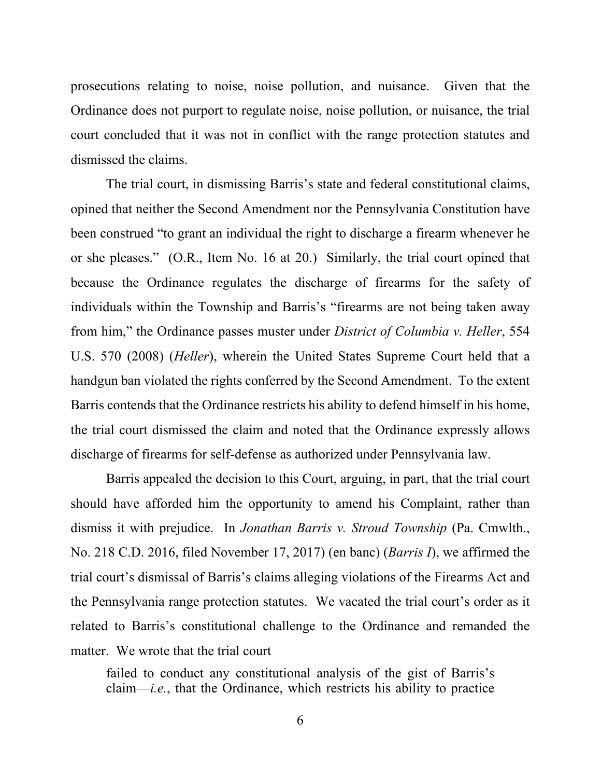prosecutions relating to noise, noise pollution, and nuisance. Given that the Ordinance does not purport to regulate noise, noise pollution, or nuisance, the trial court concluded that it was not in conflict with the range protection statutes and dismissed the claims.

The trial court, in dismissing Barris's state and federal constitutional claims, opined that neither the Second Amendment nor the Pennsylvania Constitution have been construed "to grant an individual the right to discharge a firearm whenever he or she pleases." (O.R., Item No. 16 at 20.) Similarly, the trial court opined that because the Ordinance regulates the discharge of firearms for the safety of individuals within the Township and Barris's "firearms are not being taken away from him," the Ordinance passes muster under *District of Columbia v. Heller*, 554 U.S. 570 (2008) (*Heller*), wherein the United States Supreme Court held that a handgun ban violated the rights conferred by the Second Amendment. To the extent Barris contends that the Ordinance restricts his ability to defend himself in his home, the trial court dismissed the claim and noted that the Ordinance expressly allows discharge of firearms for self-defense as authorized under Pennsylvania law.

Barris appealed the decision to this Court, arguing, in part, that the trial court should have afforded him the opportunity to amend his Complaint, rather than dismiss it with prejudice. In *Jonathan Barris v. Stroud Township* (Pa. Cmwlth., No. 218 C.D. 2016, filed November 17, 2017) (en banc) (*Barris I*), we affirmed the trial court's dismissal of Barris's claims alleging violations of the Firearms Act and the Pennsylvania range protection statutes. We vacated the trial court's order as it related to Barris's constitutional challenge to the Ordinance and remanded the matter. We wrote that the trial court

failed to conduct any constitutional analysis of the gist of Barris's claim—*i.e.*, that the Ordinance, which restricts his ability to practice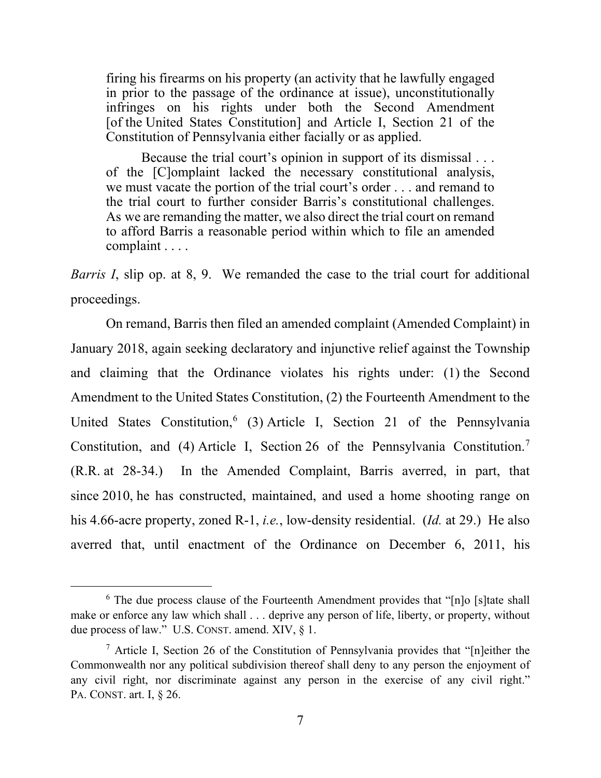firing his firearms on his property (an activity that he lawfully engaged in prior to the passage of the ordinance at issue), unconstitutionally infringes on his rights under both the Second Amendment [of the United States Constitution] and Article I, Section 21 of the Constitution of Pennsylvania either facially or as applied.

Because the trial court's opinion in support of its dismissal . . . of the [C]omplaint lacked the necessary constitutional analysis, we must vacate the portion of the trial court's order . . . and remand to the trial court to further consider Barris's constitutional challenges. As we are remanding the matter, we also direct the trial court on remand to afford Barris a reasonable period within which to file an amended complaint . . . .

*Barris I*, slip op. at 8, 9. We remanded the case to the trial court for additional proceedings.

On remand, Barris then filed an amended complaint (Amended Complaint) in January 2018, again seeking declaratory and injunctive relief against the Township and claiming that the Ordinance violates his rights under: (1) the Second Amendment to the United States Constitution, (2) the Fourteenth Amendment to the United States Constitution,<sup>[6](#page-6-0)</sup> (3) Article I, Section 21 of the Pennsylvania Constitution, and (4) Article I, Section 26 of the Pennsylvania Constitution.<sup>[7](#page-6-1)</sup> (R.R. at 28-34.) In the Amended Complaint, Barris averred, in part, that since 2010, he has constructed, maintained, and used a home shooting range on his 4.66-acre property, zoned R-1, *i.e.*, low-density residential. (*Id.* at 29.) He also averred that, until enactment of the Ordinance on December 6, 2011, his

<span id="page-6-0"></span> $6$  The due process clause of the Fourteenth Amendment provides that "[n]o [s] tate shall make or enforce any law which shall . . . deprive any person of life, liberty, or property, without due process of law." U.S. CONST. amend. XIV, § 1.

<span id="page-6-1"></span> $<sup>7</sup>$  Article I, Section 26 of the Constitution of Pennsylvania provides that "[n]either the</sup> Commonwealth nor any political subdivision thereof shall deny to any person the enjoyment of any civil right, nor discriminate against any person in the exercise of any civil right." PA. CONST. art. I, § 26.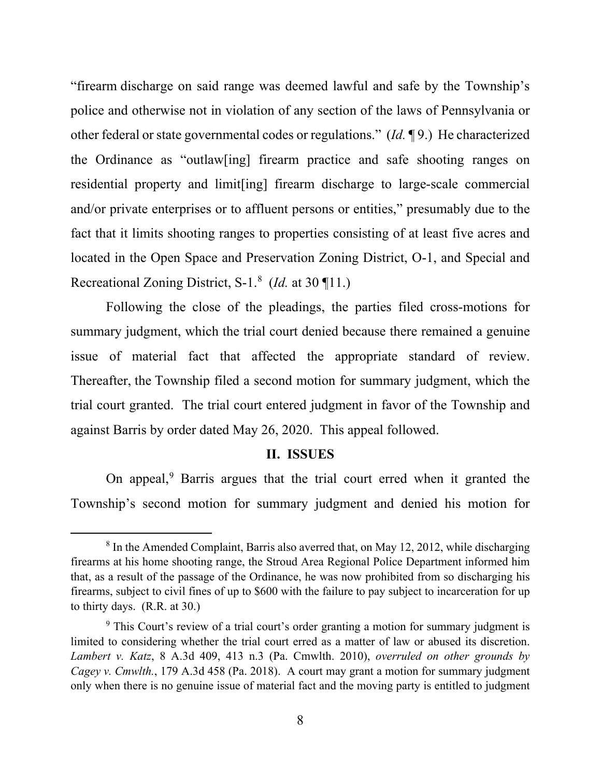"firearm discharge on said range was deemed lawful and safe by the Township's police and otherwise not in violation of any section of the laws of Pennsylvania or other federal or state governmental codes or regulations." (*Id.* ¶ 9.) He characterized the Ordinance as "outlaw[ing] firearm practice and safe shooting ranges on residential property and limit[ing] firearm discharge to large-scale commercial and/or private enterprises or to affluent persons or entities," presumably due to the fact that it limits shooting ranges to properties consisting of at least five acres and located in the Open Space and Preservation Zoning District, O-1, and Special and Recreational Zoning District, S-1.[8](#page-7-0) (*Id.* at 30 ¶11.)

Following the close of the pleadings, the parties filed cross-motions for summary judgment, which the trial court denied because there remained a genuine issue of material fact that affected the appropriate standard of review. Thereafter, the Township filed a second motion for summary judgment, which the trial court granted. The trial court entered judgment in favor of the Township and against Barris by order dated May 26, 2020. This appeal followed.

#### **II. ISSUES**

On appeal,<sup>[9](#page-7-1)</sup> Barris argues that the trial court erred when it granted the Township's second motion for summary judgment and denied his motion for

<span id="page-7-0"></span><sup>&</sup>lt;sup>8</sup> In the Amended Complaint, Barris also averred that, on May 12, 2012, while discharging firearms at his home shooting range, the Stroud Area Regional Police Department informed him that, as a result of the passage of the Ordinance, he was now prohibited from so discharging his firearms, subject to civil fines of up to \$600 with the failure to pay subject to incarceration for up to thirty days. (R.R. at 30.)

<span id="page-7-1"></span><sup>&</sup>lt;sup>9</sup> This Court's review of a trial court's order granting a motion for summary judgment is limited to considering whether the trial court erred as a matter of law or abused its discretion. *Lambert v. Katz*, 8 A.3d 409, 413 n.3 (Pa. Cmwlth. 2010), *overruled on other grounds by Cagey v. Cmwlth.*, 179 A.3d 458 (Pa. 2018). A court may grant a motion for summary judgment only when there is no genuine issue of material fact and the moving party is entitled to judgment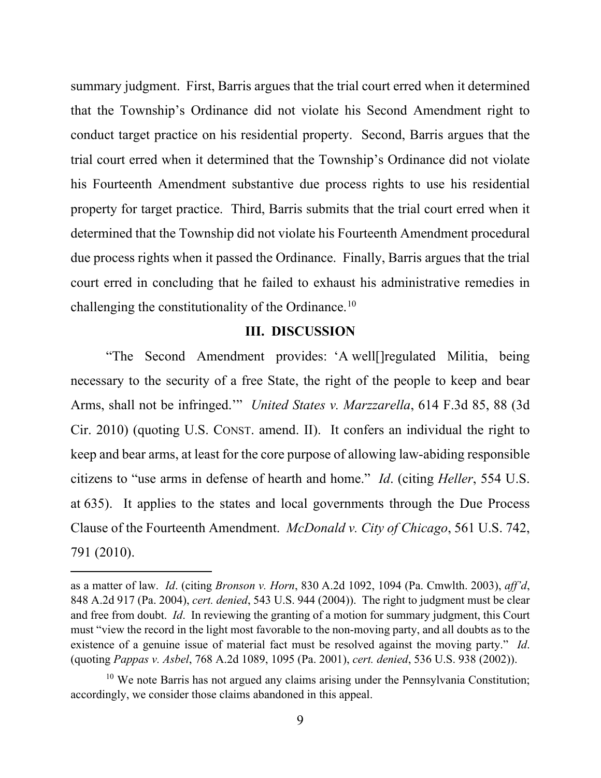summary judgment. First, Barris argues that the trial court erred when it determined that the Township's Ordinance did not violate his Second Amendment right to conduct target practice on his residential property. Second, Barris argues that the trial court erred when it determined that the Township's Ordinance did not violate his Fourteenth Amendment substantive due process rights to use his residential property for target practice. Third, Barris submits that the trial court erred when it determined that the Township did not violate his Fourteenth Amendment procedural due process rights when it passed the Ordinance. Finally, Barris argues that the trial court erred in concluding that he failed to exhaust his administrative remedies in challenging the constitutionality of the Ordinance.[10](#page-8-0)

# **III. DISCUSSION**

"The Second Amendment provides: 'A well[]regulated Militia, being necessary to the security of a free State, the right of the people to keep and bear Arms, shall not be infringed.'" *United States v. Marzzarella*, 614 F.3d 85, 88 (3d Cir. 2010) (quoting U.S. CONST. amend. II). It confers an individual the right to keep and bear arms, at least for the core purpose of allowing law-abiding responsible citizens to "use arms in defense of hearth and home." *Id*. (citing *Heller*, 554 U.S. at 635). It applies to the states and local governments through the Due Process Clause of the Fourteenth Amendment. *McDonald v. City of Chicago*, 561 U.S. 742, 791 (2010).

as a matter of law. *Id*. (citing *Bronson v. Horn*, 830 A.2d 1092, 1094 (Pa. Cmwlth. 2003), *aff'd*, 848 A.2d 917 (Pa. 2004), *cert. denied*, 543 U.S. 944 (2004)). The right to judgment must be clear and free from doubt. *Id*. In reviewing the granting of a motion for summary judgment, this Court must "view the record in the light most favorable to the non-moving party, and all doubts as to the existence of a genuine issue of material fact must be resolved against the moving party." *Id*. (quoting *Pappas v. Asbel*, 768 A.2d 1089, 1095 (Pa. 2001), *cert. denied*, 536 U.S. 938 (2002)).

<span id="page-8-0"></span> $10$  We note Barris has not argued any claims arising under the Pennsylvania Constitution; accordingly, we consider those claims abandoned in this appeal.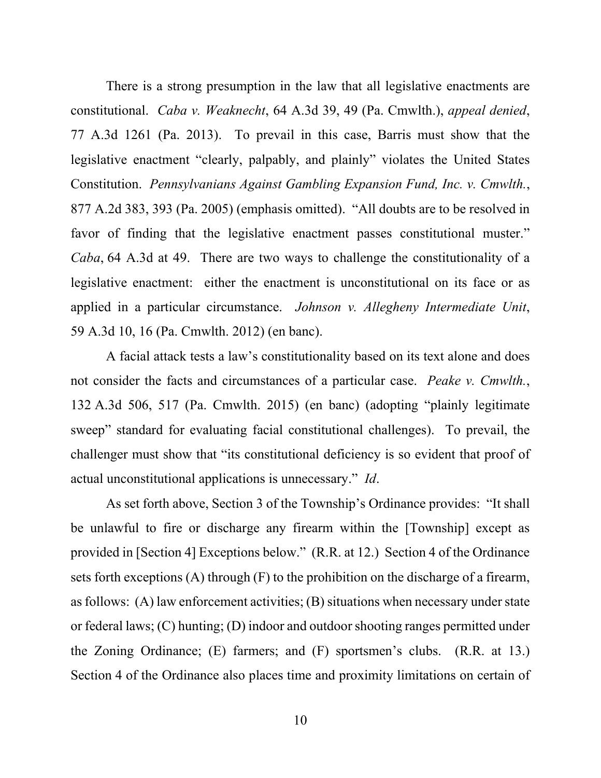There is a strong presumption in the law that all legislative enactments are constitutional. *Caba v. Weaknecht*, 64 A.3d 39, 49 (Pa. Cmwlth.), *appeal denied*, 77 A.3d 1261 (Pa. 2013). To prevail in this case, Barris must show that the legislative enactment "clearly, palpably, and plainly" violates the United States Constitution. *Pennsylvanians Against Gambling Expansion Fund, Inc. v. Cmwlth.*, 877 A.2d 383, 393 (Pa. 2005) (emphasis omitted). "All doubts are to be resolved in favor of finding that the legislative enactment passes constitutional muster." *Caba*, 64 A.3d at 49. There are two ways to challenge the constitutionality of a legislative enactment: either the enactment is unconstitutional on its face or as applied in a particular circumstance. *Johnson v. Allegheny Intermediate Unit*, 59 A.3d 10, 16 (Pa. Cmwlth. 2012) (en banc).

A facial attack tests a law's constitutionality based on its text alone and does not consider the facts and circumstances of a particular case. *Peake v. Cmwlth.*, 132 A.3d 506, 517 (Pa. Cmwlth. 2015) (en banc) (adopting "plainly legitimate sweep" standard for evaluating facial constitutional challenges). To prevail, the challenger must show that "its constitutional deficiency is so evident that proof of actual unconstitutional applications is unnecessary." *Id*.

As set forth above, Section 3 of the Township's Ordinance provides: "It shall be unlawful to fire or discharge any firearm within the [Township] except as provided in [Section 4] Exceptions below." (R.R. at 12.) Section 4 of the Ordinance sets forth exceptions (A) through (F) to the prohibition on the discharge of a firearm, as follows: (A) law enforcement activities; (B) situations when necessary under state or federal laws; (C) hunting; (D) indoor and outdoor shooting ranges permitted under the Zoning Ordinance; (E) farmers; and (F) sportsmen's clubs. (R.R. at 13.) Section 4 of the Ordinance also places time and proximity limitations on certain of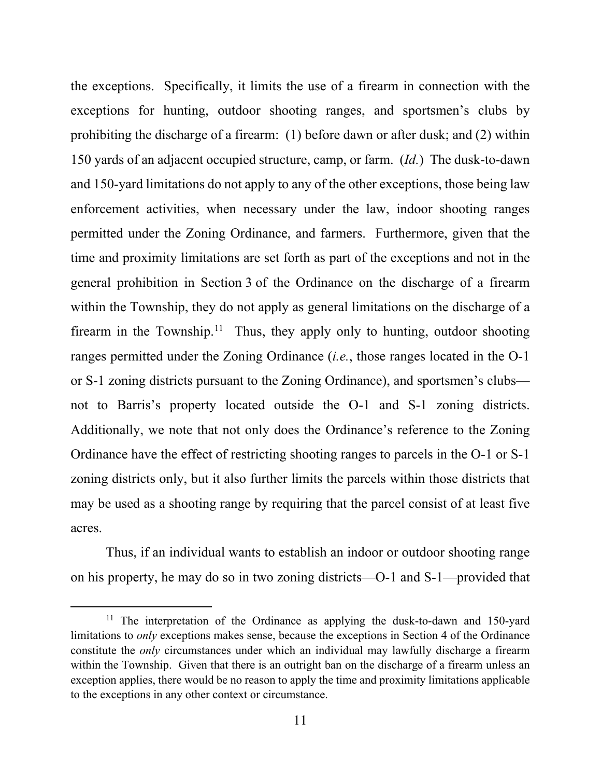the exceptions. Specifically, it limits the use of a firearm in connection with the exceptions for hunting, outdoor shooting ranges, and sportsmen's clubs by prohibiting the discharge of a firearm: (1) before dawn or after dusk; and (2) within 150 yards of an adjacent occupied structure, camp, or farm. (*Id.*) The dusk-to-dawn and 150-yard limitations do not apply to any of the other exceptions, those being law enforcement activities, when necessary under the law, indoor shooting ranges permitted under the Zoning Ordinance, and farmers. Furthermore, given that the time and proximity limitations are set forth as part of the exceptions and not in the general prohibition in Section 3 of the Ordinance on the discharge of a firearm within the Township, they do not apply as general limitations on the discharge of a firearm in the Township.<sup>11</sup> Thus, they apply only to hunting, outdoor shooting ranges permitted under the Zoning Ordinance (*i.e.*, those ranges located in the O-1 or S-1 zoning districts pursuant to the Zoning Ordinance), and sportsmen's clubs not to Barris's property located outside the O-1 and S-1 zoning districts. Additionally, we note that not only does the Ordinance's reference to the Zoning Ordinance have the effect of restricting shooting ranges to parcels in the O-1 or S-1 zoning districts only, but it also further limits the parcels within those districts that may be used as a shooting range by requiring that the parcel consist of at least five acres.

Thus, if an individual wants to establish an indoor or outdoor shooting range on his property, he may do so in two zoning districts—O-1 and S-1—provided that

<span id="page-10-0"></span><sup>&</sup>lt;sup>11</sup> The interpretation of the Ordinance as applying the dusk-to-dawn and 150-yard limitations to *only* exceptions makes sense, because the exceptions in Section 4 of the Ordinance constitute the *only* circumstances under which an individual may lawfully discharge a firearm within the Township. Given that there is an outright ban on the discharge of a firearm unless an exception applies, there would be no reason to apply the time and proximity limitations applicable to the exceptions in any other context or circumstance.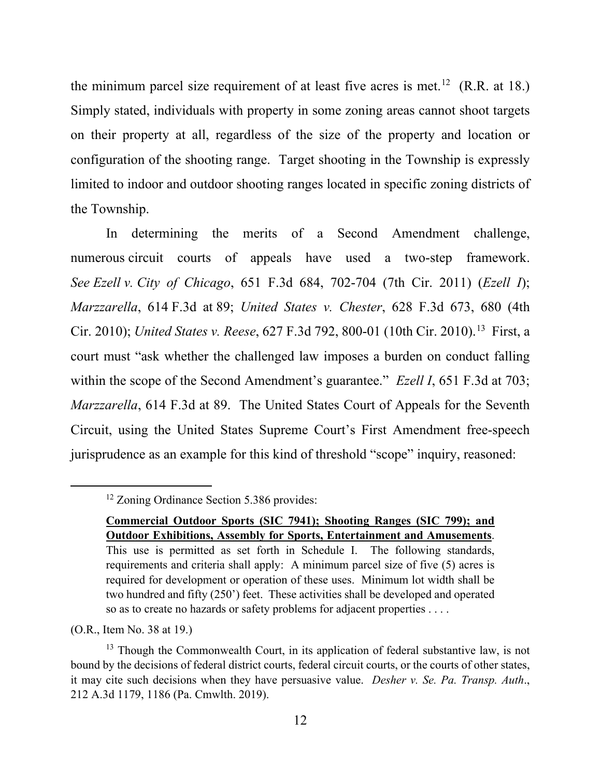the minimum parcel size requirement of at least five acres is met.<sup>12</sup> (R.R. at 18.) Simply stated, individuals with property in some zoning areas cannot shoot targets on their property at all, regardless of the size of the property and location or configuration of the shooting range. Target shooting in the Township is expressly limited to indoor and outdoor shooting ranges located in specific zoning districts of the Township.

In determining the merits of a Second Amendment challenge, numerous circuit courts of appeals have used a two-step framework. *See Ezell v. City of Chicago*, 651 F.3d 684, 702-704 (7th Cir. 2011) (*Ezell I*); *Marzzarella*, 614 F.3d at 89; *United States v. Chester*, 628 F.3d 673, 680 (4th Cir. 2010); *United States v. Reese*, 627 F.3d 792, 800-01 (10th Cir. 2010).[13](#page-11-1) First, a court must "ask whether the challenged law imposes a burden on conduct falling within the scope of the Second Amendment's guarantee." *Ezell I*, 651 F.3d at 703; *Marzzarella*, 614 F.3d at 89. The United States Court of Appeals for the Seventh Circuit, using the United States Supreme Court's First Amendment free-speech jurisprudence as an example for this kind of threshold "scope" inquiry, reasoned:

<span id="page-11-0"></span><sup>&</sup>lt;sup>12</sup> Zoning Ordinance Section 5.386 provides:

**Commercial Outdoor Sports (SIC 7941); Shooting Ranges (SIC 799); and Outdoor Exhibitions, Assembly for Sports, Entertainment and Amusements**. This use is permitted as set forth in Schedule I. The following standards, requirements and criteria shall apply: A minimum parcel size of five (5) acres is required for development or operation of these uses. Minimum lot width shall be two hundred and fifty (250') feet. These activities shall be developed and operated so as to create no hazards or safety problems for adjacent properties . . . .

<sup>(</sup>O.R., Item No. 38 at 19.)

<span id="page-11-1"></span><sup>&</sup>lt;sup>13</sup> Though the Commonwealth Court, in its application of federal substantive law, is not bound by the decisions of federal district courts, federal circuit courts, or the courts of other states, it may cite such decisions when they have persuasive value. *Desher v. Se. Pa. Transp. Auth*., 212 A.3d 1179, 1186 (Pa. Cmwlth. 2019).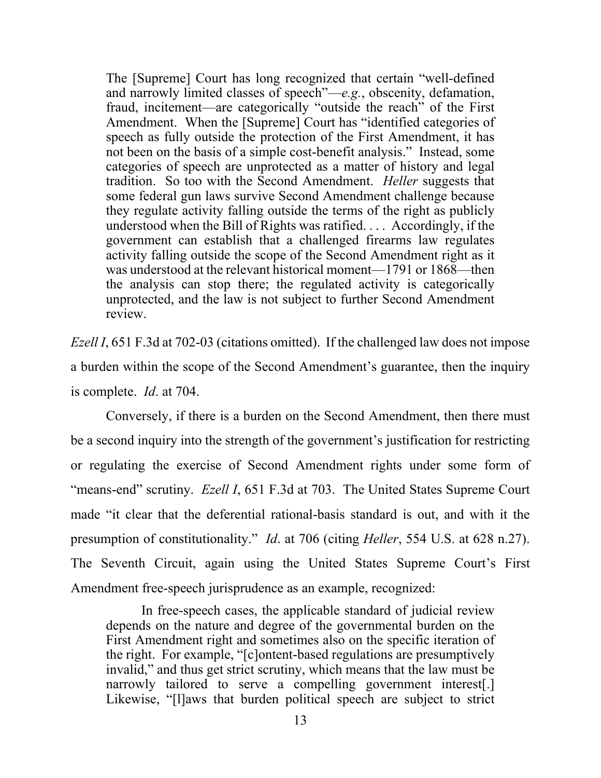The [Supreme] Court has long recognized that certain "well-defined and narrowly limited classes of speech"—*e.g.*, obscenity, defamation, fraud, incitement—are categorically "outside the reach" of the First Amendment. When the [Supreme] Court has "identified categories of speech as fully outside the protection of the First Amendment, it has not been on the basis of a simple cost-benefit analysis." Instead, some categories of speech are unprotected as a matter of history and legal tradition. So too with the Second Amendment. *Heller* suggests that some federal gun laws survive Second Amendment challenge because they regulate activity falling outside the terms of the right as publicly understood when the Bill of Rights was ratified. . . . Accordingly, if the government can establish that a challenged firearms law regulates activity falling outside the scope of the Second Amendment right as it was understood at the relevant historical moment—1791 or 1868—then the analysis can stop there; the regulated activity is categorically unprotected, and the law is not subject to further Second Amendment review.

*Ezell I*, 651 F.3d at 702-03 (citations omitted). If the challenged law does not impose a burden within the scope of the Second Amendment's guarantee, then the inquiry is complete. *Id*. at 704.

Conversely, if there is a burden on the Second Amendment, then there must be a second inquiry into the strength of the government's justification for restricting or regulating the exercise of Second Amendment rights under some form of "means-end" scrutiny. *Ezell I*, 651 F.3d at 703. The United States Supreme Court made "it clear that the deferential rational-basis standard is out, and with it the presumption of constitutionality." *Id*. at 706 (citing *Heller*, 554 U.S. at 628 n.27). The Seventh Circuit, again using the United States Supreme Court's First Amendment free-speech jurisprudence as an example, recognized:

In free-speech cases, the applicable standard of judicial review depends on the nature and degree of the governmental burden on the First Amendment right and sometimes also on the specific iteration of the right. For example, "[c]ontent-based regulations are presumptively invalid," and thus get strict scrutiny, which means that the law must be narrowly tailored to serve a compelling government interest[.] Likewise, "[l]aws that burden political speech are subject to strict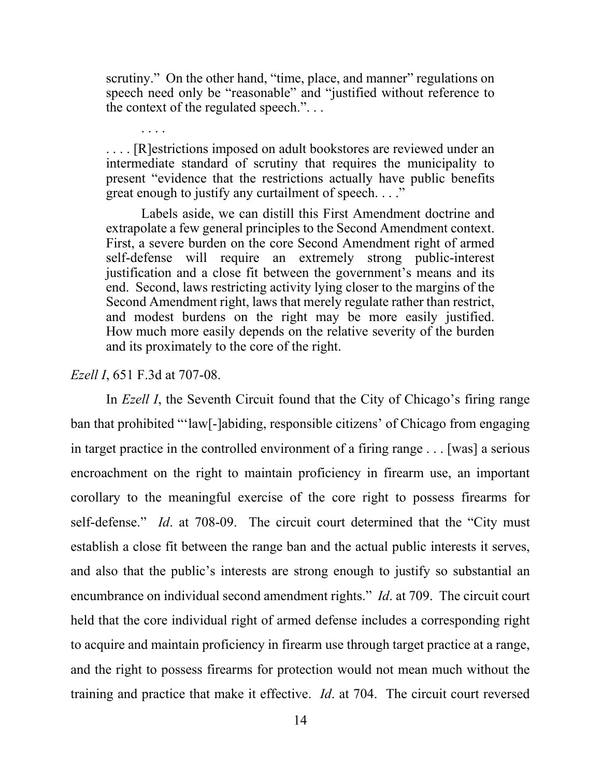scrutiny." On the other hand, "time, place, and manner" regulations on speech need only be "reasonable" and "justified without reference to the context of the regulated speech.". . .

. . . . [R]estrictions imposed on adult bookstores are reviewed under an intermediate standard of scrutiny that requires the municipality to present "evidence that the restrictions actually have public benefits great enough to justify any curtailment of speech. . . ."

Labels aside, we can distill this First Amendment doctrine and extrapolate a few general principles to the Second Amendment context. First, a severe burden on the core Second Amendment right of armed self-defense will require an extremely strong public-interest justification and a close fit between the government's means and its end. Second, laws restricting activity lying closer to the margins of the Second Amendment right, laws that merely regulate rather than restrict, and modest burdens on the right may be more easily justified. How much more easily depends on the relative severity of the burden and its proximately to the core of the right.

#### *Ezell I*, 651 F.3d at 707-08.

. . . .

In *Ezell I*, the Seventh Circuit found that the City of Chicago's firing range ban that prohibited "'law[-]abiding, responsible citizens' of Chicago from engaging in target practice in the controlled environment of a firing range . . . [was] a serious encroachment on the right to maintain proficiency in firearm use, an important corollary to the meaningful exercise of the core right to possess firearms for self-defense." *Id*. at 708-09. The circuit court determined that the "City must establish a close fit between the range ban and the actual public interests it serves, and also that the public's interests are strong enough to justify so substantial an encumbrance on individual second amendment rights." *Id*. at 709. The circuit court held that the core individual right of armed defense includes a corresponding right to acquire and maintain proficiency in firearm use through target practice at a range, and the right to possess firearms for protection would not mean much without the training and practice that make it effective. *Id*. at 704. The circuit court reversed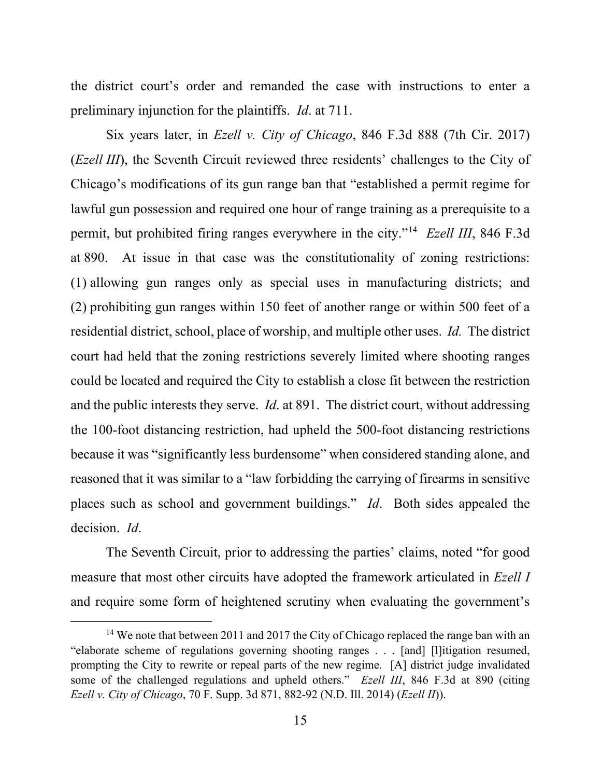the district court's order and remanded the case with instructions to enter a preliminary injunction for the plaintiffs. *Id*. at 711.

Six years later, in *Ezell v. City of Chicago*, 846 F.3d 888 (7th Cir. 2017) (*Ezell III*), the Seventh Circuit reviewed three residents' challenges to the City of Chicago's modifications of its gun range ban that "established a permit regime for lawful gun possession and required one hour of range training as a prerequisite to a permit, but prohibited firing ranges everywhere in the city."[14](#page-14-0) *Ezell III*, 846 F.3d at 890. At issue in that case was the constitutionality of zoning restrictions: (1) allowing gun ranges only as special uses in manufacturing districts; and (2) prohibiting gun ranges within 150 feet of another range or within 500 feet of a residential district, school, place of worship, and multiple other uses. *Id.* The district court had held that the zoning restrictions severely limited where shooting ranges could be located and required the City to establish a close fit between the restriction and the public interests they serve. *Id*. at 891. The district court, without addressing the 100-foot distancing restriction, had upheld the 500-foot distancing restrictions because it was "significantly less burdensome" when considered standing alone, and reasoned that it was similar to a "law forbidding the carrying of firearms in sensitive places such as school and government buildings." *Id*. Both sides appealed the decision. *Id*.

The Seventh Circuit, prior to addressing the parties' claims, noted "for good measure that most other circuits have adopted the framework articulated in *Ezell I* and require some form of heightened scrutiny when evaluating the government's

<span id="page-14-0"></span><sup>&</sup>lt;sup>14</sup> We note that between 2011 and 2017 the City of Chicago replaced the range ban with an "elaborate scheme of regulations governing shooting ranges . . . [and] [l]itigation resumed, prompting the City to rewrite or repeal parts of the new regime. [A] district judge invalidated some of the challenged regulations and upheld others." *Ezell III*, 846 F.3d at 890 (citing *Ezell v. City of Chicago*, 70 F. Supp. 3d 871, 882-92 (N.D. Ill. 2014) (*Ezell II*)).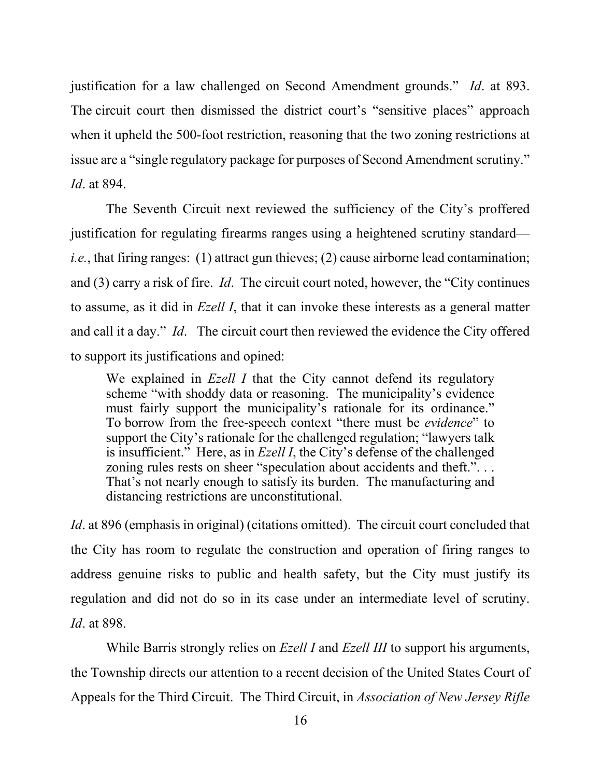justification for a law challenged on Second Amendment grounds." *Id*. at 893. The circuit court then dismissed the district court's "sensitive places" approach when it upheld the 500-foot restriction, reasoning that the two zoning restrictions at issue are a "single regulatory package for purposes of Second Amendment scrutiny." *Id*. at 894.

The Seventh Circuit next reviewed the sufficiency of the City's proffered justification for regulating firearms ranges using a heightened scrutiny standard *i.e.*, that firing ranges: (1) attract gun thieves; (2) cause airborne lead contamination; and (3) carry a risk of fire. *Id*. The circuit court noted, however, the "City continues to assume, as it did in *Ezell I*, that it can invoke these interests as a general matter and call it a day." *Id*. The circuit court then reviewed the evidence the City offered to support its justifications and opined:

We explained in *Ezell I* that the City cannot defend its regulatory scheme "with shoddy data or reasoning. The municipality's evidence must fairly support the municipality's rationale for its ordinance." To borrow from the free-speech context "there must be *evidence*" to support the City's rationale for the challenged regulation; "lawyers talk is insufficient." Here, as in *Ezell I*, the City's defense of the challenged zoning rules rests on sheer "speculation about accidents and theft."... That's not nearly enough to satisfy its burden. The manufacturing and distancing restrictions are unconstitutional.

*Id*. at 896 (emphasis in original) (citations omitted). The circuit court concluded that the City has room to regulate the construction and operation of firing ranges to address genuine risks to public and health safety, but the City must justify its regulation and did not do so in its case under an intermediate level of scrutiny. *Id*. at 898.

While Barris strongly relies on *Ezell I* and *Ezell III* to support his arguments, the Township directs our attention to a recent decision of the United States Court of Appeals for the Third Circuit. The Third Circuit, in *Association of New Jersey Rifle*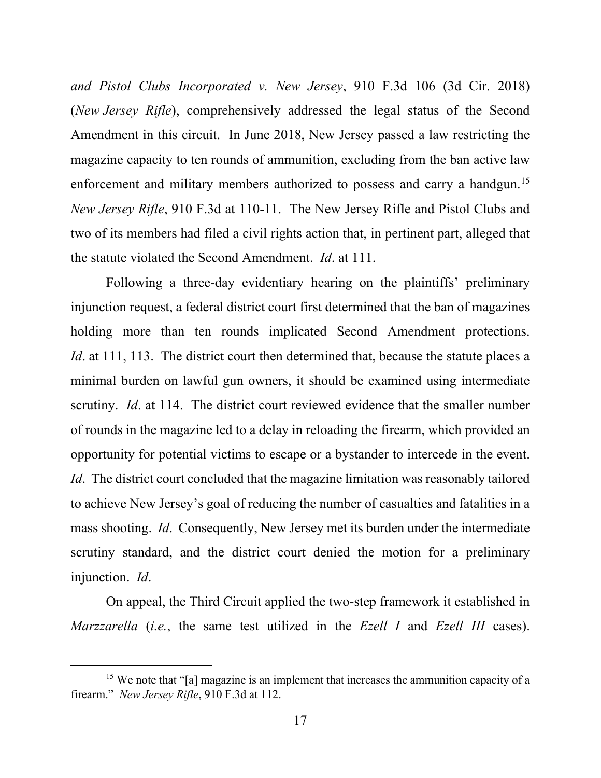*and Pistol Clubs Incorporated v. New Jersey*, 910 F.3d 106 (3d Cir. 2018) (*New Jersey Rifle*), comprehensively addressed the legal status of the Second Amendment in this circuit. In June 2018, New Jersey passed a law restricting the magazine capacity to ten rounds of ammunition, excluding from the ban active law enforcement and military members authorized to possess and carry a handgun.<sup>[15](#page-16-0)</sup> *New Jersey Rifle*, 910 F.3d at 110-11. The New Jersey Rifle and Pistol Clubs and two of its members had filed a civil rights action that, in pertinent part, alleged that the statute violated the Second Amendment. *Id*. at 111.

Following a three-day evidentiary hearing on the plaintiffs' preliminary injunction request, a federal district court first determined that the ban of magazines holding more than ten rounds implicated Second Amendment protections. *Id.* at 111, 113. The district court then determined that, because the statute places a minimal burden on lawful gun owners, it should be examined using intermediate scrutiny. *Id*. at 114. The district court reviewed evidence that the smaller number of rounds in the magazine led to a delay in reloading the firearm, which provided an opportunity for potential victims to escape or a bystander to intercede in the event. *Id*. The district court concluded that the magazine limitation was reasonably tailored to achieve New Jersey's goal of reducing the number of casualties and fatalities in a mass shooting. *Id*. Consequently, New Jersey met its burden under the intermediate scrutiny standard, and the district court denied the motion for a preliminary injunction. *Id*.

On appeal, the Third Circuit applied the two-step framework it established in *Marzzarella* (*i.e.*, the same test utilized in the *Ezell I* and *Ezell III* cases).

<span id="page-16-0"></span><sup>&</sup>lt;sup>15</sup> We note that "[a] magazine is an implement that increases the ammunition capacity of a firearm." *New Jersey Rifle*, 910 F.3d at 112.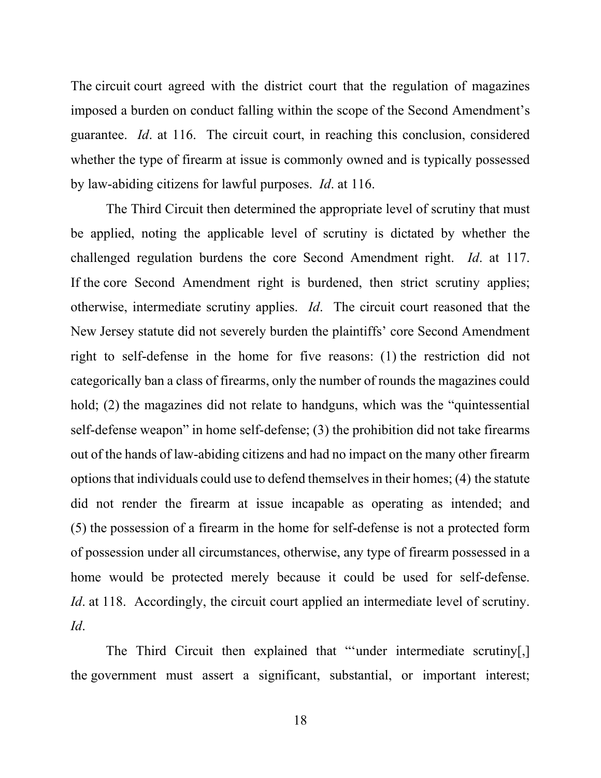The circuit court agreed with the district court that the regulation of magazines imposed a burden on conduct falling within the scope of the Second Amendment's guarantee. *Id*. at 116. The circuit court, in reaching this conclusion, considered whether the type of firearm at issue is commonly owned and is typically possessed by law-abiding citizens for lawful purposes. *Id*. at 116.

The Third Circuit then determined the appropriate level of scrutiny that must be applied, noting the applicable level of scrutiny is dictated by whether the challenged regulation burdens the core Second Amendment right. *Id*. at 117. If the core Second Amendment right is burdened, then strict scrutiny applies; otherwise, intermediate scrutiny applies. *Id*. The circuit court reasoned that the New Jersey statute did not severely burden the plaintiffs' core Second Amendment right to self-defense in the home for five reasons: (1) the restriction did not categorically ban a class of firearms, only the number of rounds the magazines could hold; (2) the magazines did not relate to handguns, which was the "quintessential self-defense weapon" in home self-defense; (3) the prohibition did not take firearms out of the hands of law-abiding citizens and had no impact on the many other firearm options that individuals could use to defend themselves in their homes; (4) the statute did not render the firearm at issue incapable as operating as intended; and (5) the possession of a firearm in the home for self-defense is not a protected form of possession under all circumstances, otherwise, any type of firearm possessed in a home would be protected merely because it could be used for self-defense. *Id.* at 118. Accordingly, the circuit court applied an intermediate level of scrutiny. *Id*.

The Third Circuit then explained that "'under intermediate scrutiny[,] the government must assert a significant, substantial, or important interest;

18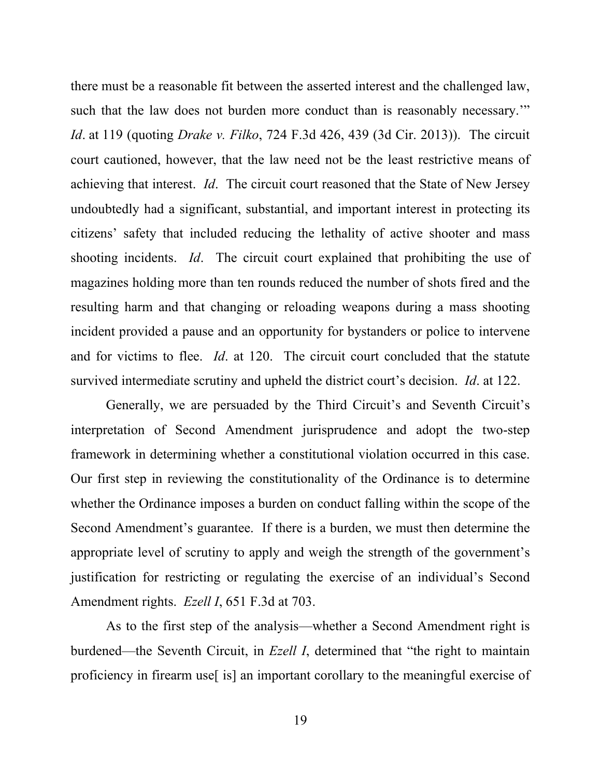there must be a reasonable fit between the asserted interest and the challenged law, such that the law does not burden more conduct than is reasonably necessary." *Id*. at 119 (quoting *Drake v. Filko*, 724 F.3d 426, 439 (3d Cir. 2013)). The circuit court cautioned, however, that the law need not be the least restrictive means of achieving that interest. *Id*. The circuit court reasoned that the State of New Jersey undoubtedly had a significant, substantial, and important interest in protecting its citizens' safety that included reducing the lethality of active shooter and mass shooting incidents. *Id*. The circuit court explained that prohibiting the use of magazines holding more than ten rounds reduced the number of shots fired and the resulting harm and that changing or reloading weapons during a mass shooting incident provided a pause and an opportunity for bystanders or police to intervene and for victims to flee. *Id*. at 120. The circuit court concluded that the statute survived intermediate scrutiny and upheld the district court's decision. *Id*. at 122.

Generally, we are persuaded by the Third Circuit's and Seventh Circuit's interpretation of Second Amendment jurisprudence and adopt the two-step framework in determining whether a constitutional violation occurred in this case. Our first step in reviewing the constitutionality of the Ordinance is to determine whether the Ordinance imposes a burden on conduct falling within the scope of the Second Amendment's guarantee. If there is a burden, we must then determine the appropriate level of scrutiny to apply and weigh the strength of the government's justification for restricting or regulating the exercise of an individual's Second Amendment rights. *Ezell I*, 651 F.3d at 703.

As to the first step of the analysis—whether a Second Amendment right is burdened—the Seventh Circuit, in *Ezell I*, determined that "the right to maintain proficiency in firearm use[ is] an important corollary to the meaningful exercise of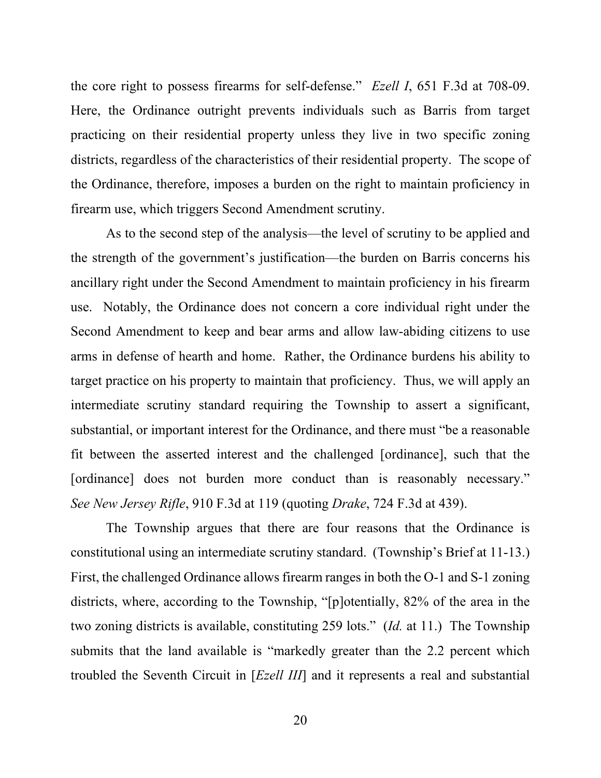the core right to possess firearms for self-defense." *Ezell I*, 651 F.3d at 708-09. Here, the Ordinance outright prevents individuals such as Barris from target practicing on their residential property unless they live in two specific zoning districts, regardless of the characteristics of their residential property. The scope of the Ordinance, therefore, imposes a burden on the right to maintain proficiency in firearm use, which triggers Second Amendment scrutiny.

As to the second step of the analysis—the level of scrutiny to be applied and the strength of the government's justification—the burden on Barris concerns his ancillary right under the Second Amendment to maintain proficiency in his firearm use. Notably, the Ordinance does not concern a core individual right under the Second Amendment to keep and bear arms and allow law-abiding citizens to use arms in defense of hearth and home. Rather, the Ordinance burdens his ability to target practice on his property to maintain that proficiency. Thus, we will apply an intermediate scrutiny standard requiring the Township to assert a significant, substantial, or important interest for the Ordinance, and there must "be a reasonable fit between the asserted interest and the challenged [ordinance], such that the [ordinance] does not burden more conduct than is reasonably necessary." *See New Jersey Rifle*, 910 F.3d at 119 (quoting *Drake*, 724 F.3d at 439).

The Township argues that there are four reasons that the Ordinance is constitutional using an intermediate scrutiny standard. (Township's Brief at 11-13.) First, the challenged Ordinance allows firearm ranges in both the O-1 and S-1 zoning districts, where, according to the Township, "[p]otentially, 82% of the area in the two zoning districts is available, constituting 259 lots." (*Id.* at 11.) The Township submits that the land available is "markedly greater than the 2.2 percent which troubled the Seventh Circuit in [*Ezell III*] and it represents a real and substantial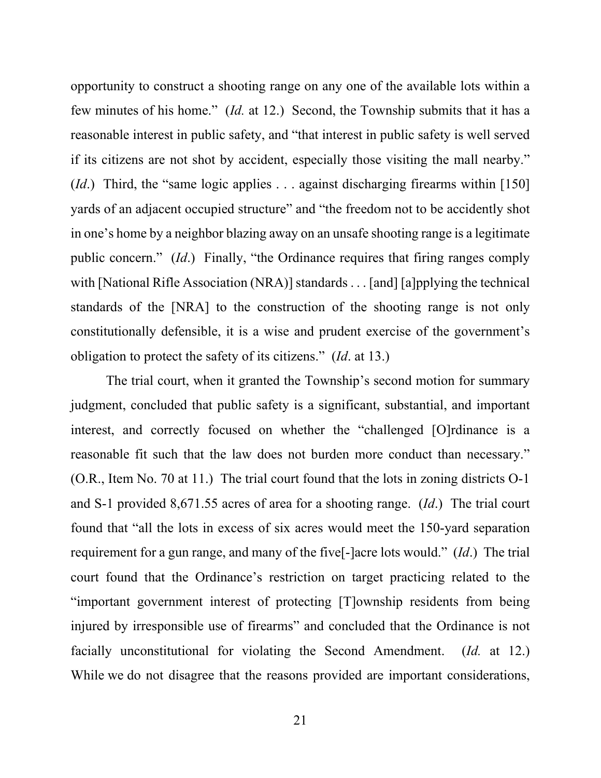opportunity to construct a shooting range on any one of the available lots within a few minutes of his home." (*Id.* at 12.) Second, the Township submits that it has a reasonable interest in public safety, and "that interest in public safety is well served if its citizens are not shot by accident, especially those visiting the mall nearby." (*Id*.) Third, the "same logic applies . . . against discharging firearms within [150] yards of an adjacent occupied structure" and "the freedom not to be accidently shot in one's home by a neighbor blazing away on an unsafe shooting range is a legitimate public concern." (*Id*.) Finally, "the Ordinance requires that firing ranges comply with [National Rifle Association (NRA)] standards . . . [and] [a]pplying the technical standards of the [NRA] to the construction of the shooting range is not only constitutionally defensible, it is a wise and prudent exercise of the government's obligation to protect the safety of its citizens." (*Id*. at 13.)

The trial court, when it granted the Township's second motion for summary judgment, concluded that public safety is a significant, substantial, and important interest, and correctly focused on whether the "challenged [O]rdinance is a reasonable fit such that the law does not burden more conduct than necessary." (O.R., Item No. 70 at 11.) The trial court found that the lots in zoning districts O-1 and S-1 provided 8,671.55 acres of area for a shooting range. (*Id*.) The trial court found that "all the lots in excess of six acres would meet the 150-yard separation requirement for a gun range, and many of the five[-]acre lots would." (*Id*.) The trial court found that the Ordinance's restriction on target practicing related to the "important government interest of protecting [T]ownship residents from being injured by irresponsible use of firearms" and concluded that the Ordinance is not facially unconstitutional for violating the Second Amendment. (*Id.* at 12.) While we do not disagree that the reasons provided are important considerations,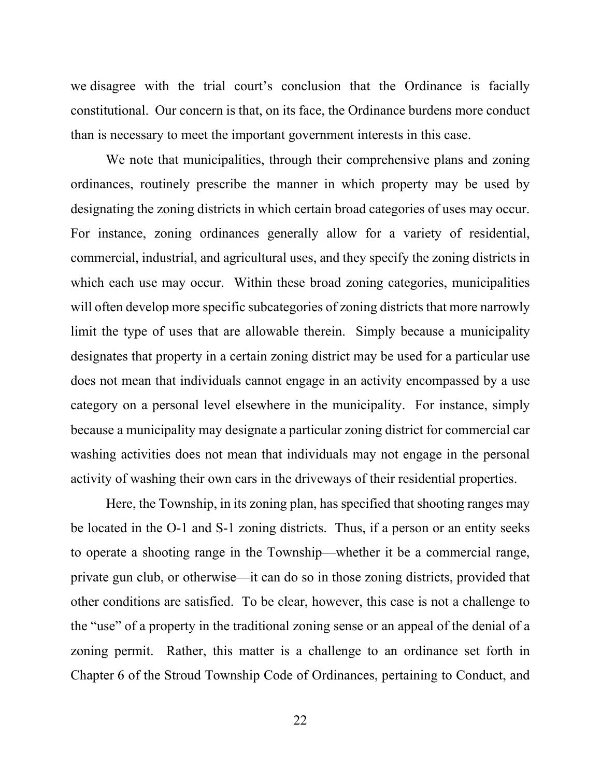we disagree with the trial court's conclusion that the Ordinance is facially constitutional. Our concern is that, on its face, the Ordinance burdens more conduct than is necessary to meet the important government interests in this case.

We note that municipalities, through their comprehensive plans and zoning ordinances, routinely prescribe the manner in which property may be used by designating the zoning districts in which certain broad categories of uses may occur. For instance, zoning ordinances generally allow for a variety of residential, commercial, industrial, and agricultural uses, and they specify the zoning districts in which each use may occur. Within these broad zoning categories, municipalities will often develop more specific subcategories of zoning districts that more narrowly limit the type of uses that are allowable therein. Simply because a municipality designates that property in a certain zoning district may be used for a particular use does not mean that individuals cannot engage in an activity encompassed by a use category on a personal level elsewhere in the municipality. For instance, simply because a municipality may designate a particular zoning district for commercial car washing activities does not mean that individuals may not engage in the personal activity of washing their own cars in the driveways of their residential properties.

Here, the Township, in its zoning plan, has specified that shooting ranges may be located in the O-1 and S-1 zoning districts. Thus, if a person or an entity seeks to operate a shooting range in the Township—whether it be a commercial range, private gun club, or otherwise—it can do so in those zoning districts, provided that other conditions are satisfied. To be clear, however, this case is not a challenge to the "use" of a property in the traditional zoning sense or an appeal of the denial of a zoning permit. Rather, this matter is a challenge to an ordinance set forth in Chapter 6 of the Stroud Township Code of Ordinances, pertaining to Conduct, and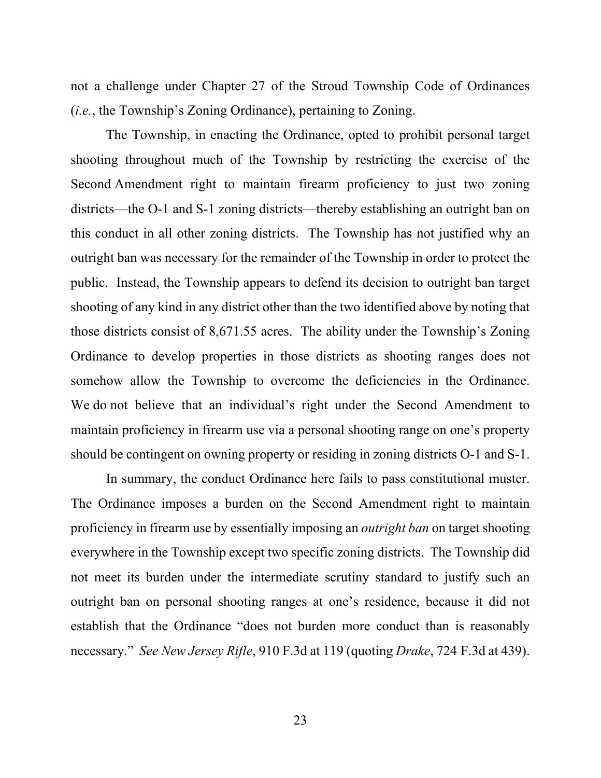not a challenge under Chapter 27 of the Stroud Township Code of Ordinances (*i.e.*, the Township's Zoning Ordinance), pertaining to Zoning.

The Township, in enacting the Ordinance, opted to prohibit personal target shooting throughout much of the Township by restricting the exercise of the Second Amendment right to maintain firearm proficiency to just two zoning districts—the O-1 and S-1 zoning districts—thereby establishing an outright ban on this conduct in all other zoning districts. The Township has not justified why an outright ban was necessary for the remainder of the Township in order to protect the public. Instead, the Township appears to defend its decision to outright ban target shooting of any kind in any district other than the two identified above by noting that those districts consist of 8,671.55 acres. The ability under the Township's Zoning Ordinance to develop properties in those districts as shooting ranges does not somehow allow the Township to overcome the deficiencies in the Ordinance. We do not believe that an individual's right under the Second Amendment to maintain proficiency in firearm use via a personal shooting range on one's property should be contingent on owning property or residing in zoning districts O-1 and S-1.

In summary, the conduct Ordinance here fails to pass constitutional muster. The Ordinance imposes a burden on the Second Amendment right to maintain proficiency in firearm use by essentially imposing an *outright ban* on target shooting everywhere in the Township except two specific zoning districts. The Township did not meet its burden under the intermediate scrutiny standard to justify such an outright ban on personal shooting ranges at one's residence, because it did not establish that the Ordinance "does not burden more conduct than is reasonably necessary." *See New Jersey Rifle*, 910 F.3d at 119 (quoting *Drake*, 724 F.3d at 439).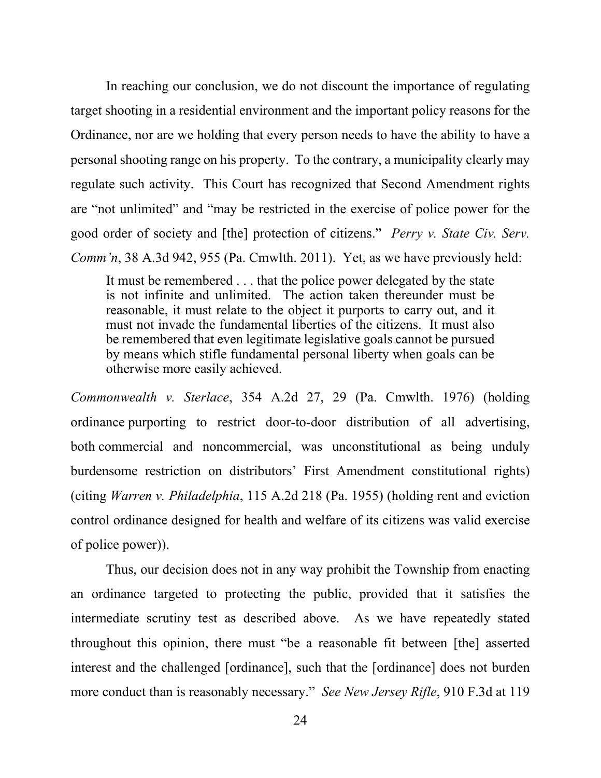In reaching our conclusion, we do not discount the importance of regulating target shooting in a residential environment and the important policy reasons for the Ordinance, nor are we holding that every person needs to have the ability to have a personal shooting range on his property. To the contrary, a municipality clearly may regulate such activity. This Court has recognized that Second Amendment rights are "not unlimited" and "may be restricted in the exercise of police power for the good order of society and [the] protection of citizens." *Perry v. State Civ. Serv. Comm'n*, 38 A.3d 942, 955 (Pa. Cmwlth. 2011). Yet, as we have previously held:

It must be remembered . . . that the police power delegated by the state is not infinite and unlimited. The action taken thereunder must be reasonable, it must relate to the object it purports to carry out, and it must not invade the fundamental liberties of the citizens. It must also be remembered that even legitimate legislative goals cannot be pursued by means which stifle fundamental personal liberty when goals can be otherwise more easily achieved.

*Commonwealth v. Sterlace*, 354 A.2d 27, 29 (Pa. Cmwlth. 1976) (holding ordinance purporting to restrict door-to-door distribution of all advertising, both commercial and noncommercial, was unconstitutional as being unduly burdensome restriction on distributors' First Amendment constitutional rights) (citing *Warren v. Philadelphia*, 115 A.2d 218 (Pa. 1955) (holding rent and eviction control ordinance designed for health and welfare of its citizens was valid exercise of police power)).

Thus, our decision does not in any way prohibit the Township from enacting an ordinance targeted to protecting the public, provided that it satisfies the intermediate scrutiny test as described above. As we have repeatedly stated throughout this opinion, there must "be a reasonable fit between [the] asserted interest and the challenged [ordinance], such that the [ordinance] does not burden more conduct than is reasonably necessary." *See New Jersey Rifle*, 910 F.3d at 119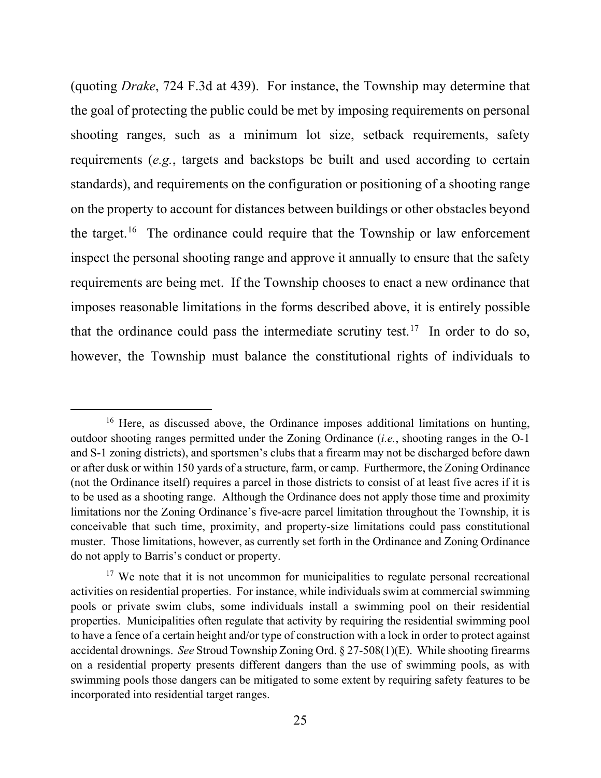(quoting *Drake*, 724 F.3d at 439). For instance, the Township may determine that the goal of protecting the public could be met by imposing requirements on personal shooting ranges, such as a minimum lot size, setback requirements, safety requirements (*e.g.*, targets and backstops be built and used according to certain standards), and requirements on the configuration or positioning of a shooting range on the property to account for distances between buildings or other obstacles beyond the target. [16](#page-24-0) The ordinance could require that the Township or law enforcement inspect the personal shooting range and approve it annually to ensure that the safety requirements are being met. If the Township chooses to enact a new ordinance that imposes reasonable limitations in the forms described above, it is entirely possible that the ordinance could pass the intermediate scrutiny test.<sup>17</sup> In order to do so, however, the Township must balance the constitutional rights of individuals to

<span id="page-24-0"></span><sup>&</sup>lt;sup>16</sup> Here, as discussed above, the Ordinance imposes additional limitations on hunting, outdoor shooting ranges permitted under the Zoning Ordinance (*i.e.*, shooting ranges in the O-1 and S-1 zoning districts), and sportsmen's clubs that a firearm may not be discharged before dawn or after dusk or within 150 yards of a structure, farm, or camp. Furthermore, the Zoning Ordinance (not the Ordinance itself) requires a parcel in those districts to consist of at least five acres if it is to be used as a shooting range. Although the Ordinance does not apply those time and proximity limitations nor the Zoning Ordinance's five-acre parcel limitation throughout the Township, it is conceivable that such time, proximity, and property-size limitations could pass constitutional muster. Those limitations, however, as currently set forth in the Ordinance and Zoning Ordinance do not apply to Barris's conduct or property.

<span id="page-24-1"></span><sup>&</sup>lt;sup>17</sup> We note that it is not uncommon for municipalities to regulate personal recreational activities on residential properties. For instance, while individuals swim at commercial swimming pools or private swim clubs, some individuals install a swimming pool on their residential properties. Municipalities often regulate that activity by requiring the residential swimming pool to have a fence of a certain height and/or type of construction with a lock in order to protect against accidental drownings. *See* Stroud Township Zoning Ord. § 27-508(1)(E). While shooting firearms on a residential property presents different dangers than the use of swimming pools, as with swimming pools those dangers can be mitigated to some extent by requiring safety features to be incorporated into residential target ranges.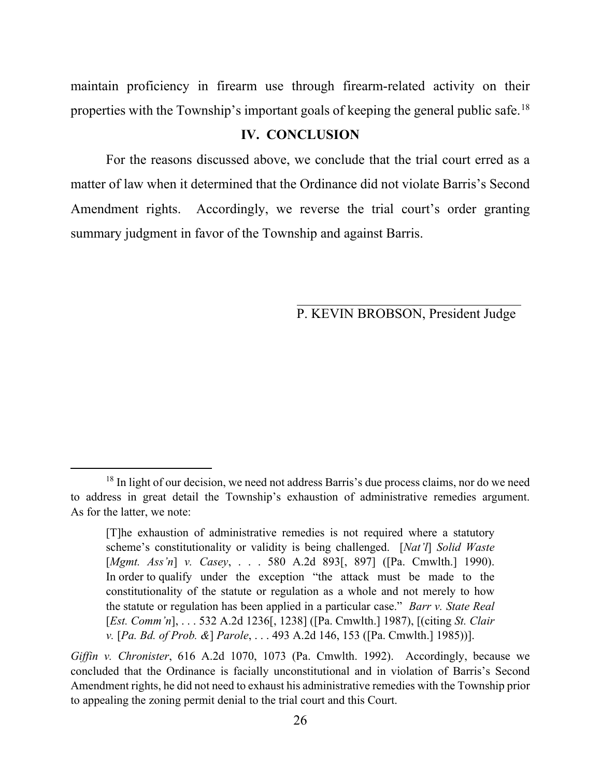maintain proficiency in firearm use through firearm-related activity on their properties with the Township's important goals of keeping the general public safe.[18](#page-25-0)

### **IV. CONCLUSION**

For the reasons discussed above, we conclude that the trial court erred as a matter of law when it determined that the Ordinance did not violate Barris's Second Amendment rights. Accordingly, we reverse the trial court's order granting summary judgment in favor of the Township and against Barris.

P. KEVIN BROBSON, President Judge

<span id="page-25-0"></span><sup>&</sup>lt;sup>18</sup> In light of our decision, we need not address Barris's due process claims, nor do we need to address in great detail the Township's exhaustion of administrative remedies argument. As for the latter, we note:

<sup>[</sup>T]he exhaustion of administrative remedies is not required where a statutory scheme's constitutionality or validity is being challenged. [*Nat'l*] *Solid Waste*  [*Mgmt. Ass'n*] *v. Casey*, . . . 580 A.2d 893[, 897] ([Pa. Cmwlth.] 1990). In order to qualify under the exception "the attack must be made to the constitutionality of the statute or regulation as a whole and not merely to how the statute or regulation has been applied in a particular case." *Barr v. State Real*  [*Est. Comm'n*], . . . 532 A.2d 1236[, 1238] ([Pa. Cmwlth.] 1987), [(citing *St. Clair v.* [*Pa. Bd. of Prob. &*] *Parole*, . . . 493 A.2d 146, 153 ([Pa. Cmwlth.] 1985))].

*Giffin v. Chronister*, 616 A.2d 1070, 1073 (Pa. Cmwlth. 1992). Accordingly, because we concluded that the Ordinance is facially unconstitutional and in violation of Barris's Second Amendment rights, he did not need to exhaust his administrative remedies with the Township prior to appealing the zoning permit denial to the trial court and this Court.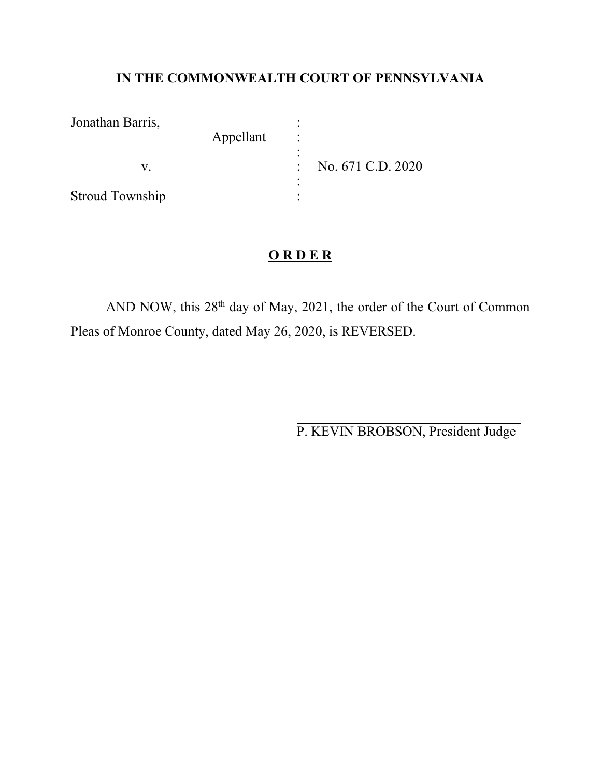# **IN THE COMMONWEALTH COURT OF PENNSYLVANIA**

| Jonathan Barris,       |           |                   |
|------------------------|-----------|-------------------|
|                        | Appellant |                   |
|                        |           |                   |
|                        |           | No. 671 C.D. 2020 |
|                        |           |                   |
| <b>Stroud Township</b> |           |                   |

# **O R D E R**

AND NOW, this 28<sup>th</sup> day of May, 2021, the order of the Court of Common Pleas of Monroe County, dated May 26, 2020, is REVERSED.

P. KEVIN BROBSON, President Judge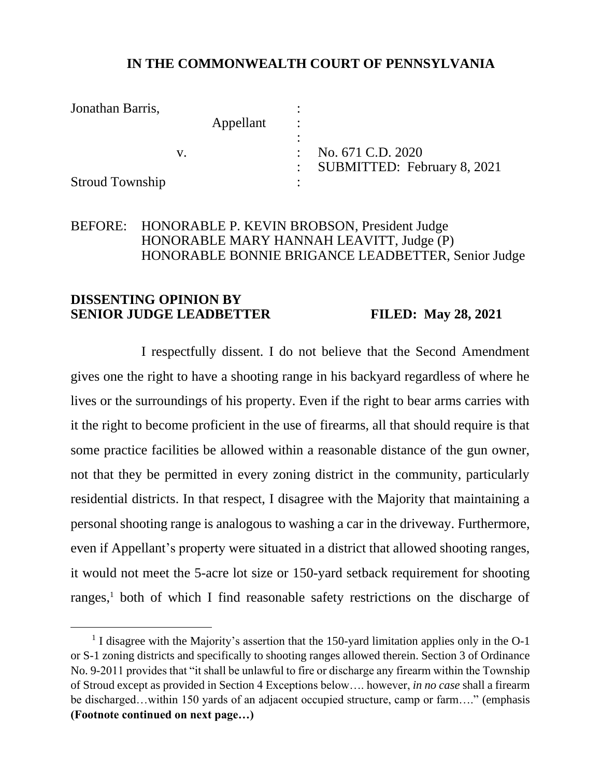# **IN THE COMMONWEALTH COURT OF PENNSYLVANIA**

Jonathan Barris, : Appellant : : v. : No. 671 C.D. 2020 : SUBMITTED: February 8, 2021 Stroud Township :

# BEFORE: HONORABLE P. KEVIN BROBSON, President Judge HONORABLE MARY HANNAH LEAVITT, Judge (P) HONORABLE BONNIE BRIGANCE LEADBETTER, Senior Judge

## **DISSENTING OPINION BY SENIOR JUDGE LEADBETTER FILED: May 28, 2021**

I respectfully dissent. I do not believe that the Second Amendment gives one the right to have a shooting range in his backyard regardless of where he lives or the surroundings of his property. Even if the right to bear arms carries with it the right to become proficient in the use of firearms, all that should require is that some practice facilities be allowed within a reasonable distance of the gun owner, not that they be permitted in every zoning district in the community, particularly residential districts. In that respect, I disagree with the Majority that maintaining a personal shooting range is analogous to washing a car in the driveway. Furthermore, even if Appellant's property were situated in a district that allowed shooting ranges, it would not meet the 5-acre lot size or 150-yard setback requirement for shooting ranges, <sup>1</sup> both of which I find reasonable safety restrictions on the discharge of

<sup>&</sup>lt;sup>1</sup> I disagree with the Majority's assertion that the 150-yard limitation applies only in the O-1 or S-1 zoning districts and specifically to shooting ranges allowed therein. Section 3 of Ordinance No. 9-2011 provides that "it shall be unlawful to fire or discharge any firearm within the Township of Stroud except as provided in Section 4 Exceptions below…. however, *in no case* shall a firearm be discharged…within 150 yards of an adjacent occupied structure, camp or farm…." (emphasis **(Footnote continued on next page…)**